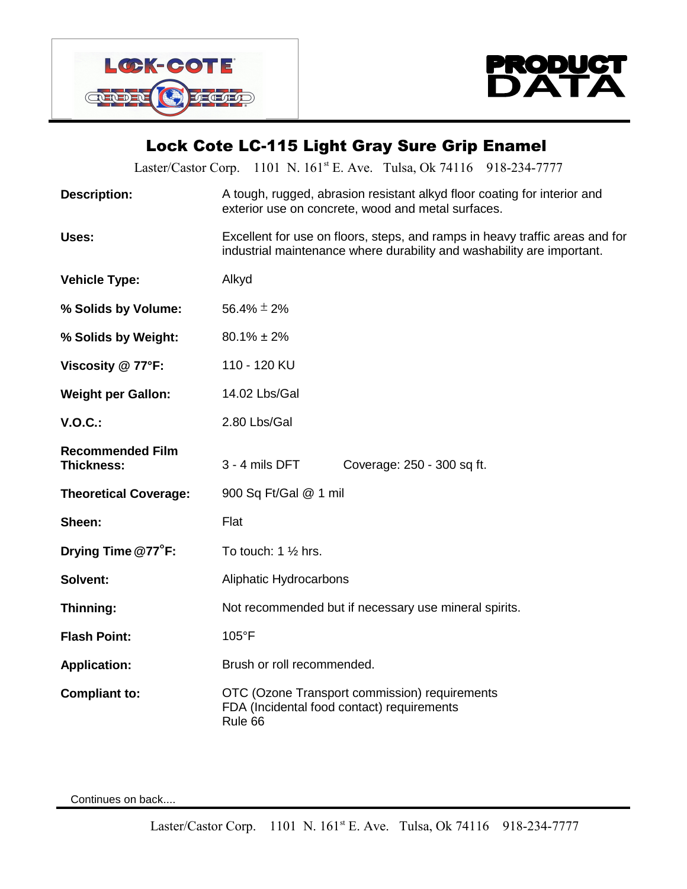



## **Lock Cote LC-115 Light Gray Sure Grip Enamel**

|                                       | Laster/Castor Corp. 1101 N. 161 <sup>st</sup> E. Ave. Tulsa, Ok 74116 918-234-7777                                                                     |
|---------------------------------------|--------------------------------------------------------------------------------------------------------------------------------------------------------|
| <b>Description:</b>                   | A tough, rugged, abrasion resistant alkyd floor coating for interior and<br>exterior use on concrete, wood and metal surfaces.                         |
| Uses:                                 | Excellent for use on floors, steps, and ramps in heavy traffic areas and for<br>industrial maintenance where durability and washability are important. |
| <b>Vehicle Type:</b>                  | Alkyd                                                                                                                                                  |
| % Solids by Volume:                   | 56.4% $\pm$ 2%                                                                                                                                         |
| % Solids by Weight:                   | $80.1\% \pm 2\%$                                                                                                                                       |
| Viscosity @ 77°F:                     | 110 - 120 KU                                                                                                                                           |
| <b>Weight per Gallon:</b>             | 14.02 Lbs/Gal                                                                                                                                          |
| <b>V.O.C.:</b>                        | 2.80 Lbs/Gal                                                                                                                                           |
| <b>Recommended Film</b><br>Thickness: | $3 - 4$ mils DFT<br>Coverage: 250 - 300 sq ft.                                                                                                         |
| <b>Theoretical Coverage:</b>          | 900 Sq Ft/Gal @ 1 mil                                                                                                                                  |
| Sheen:                                | Flat                                                                                                                                                   |
| Drying Time $@77$ <sup>o</sup> F:     | To touch: $1\frac{1}{2}$ hrs.                                                                                                                          |
| Solvent:                              | Aliphatic Hydrocarbons                                                                                                                                 |
| Thinning:                             | Not recommended but if necessary use mineral spirits.                                                                                                  |
| <b>Flash Point:</b>                   | 105°F                                                                                                                                                  |
| <b>Application:</b>                   | Brush or roll recommended.                                                                                                                             |
| <b>Compliant to:</b>                  | OTC (Ozone Transport commission) requirements<br>FDA (Incidental food contact) requirements<br>Rule 66                                                 |

Continues on back....